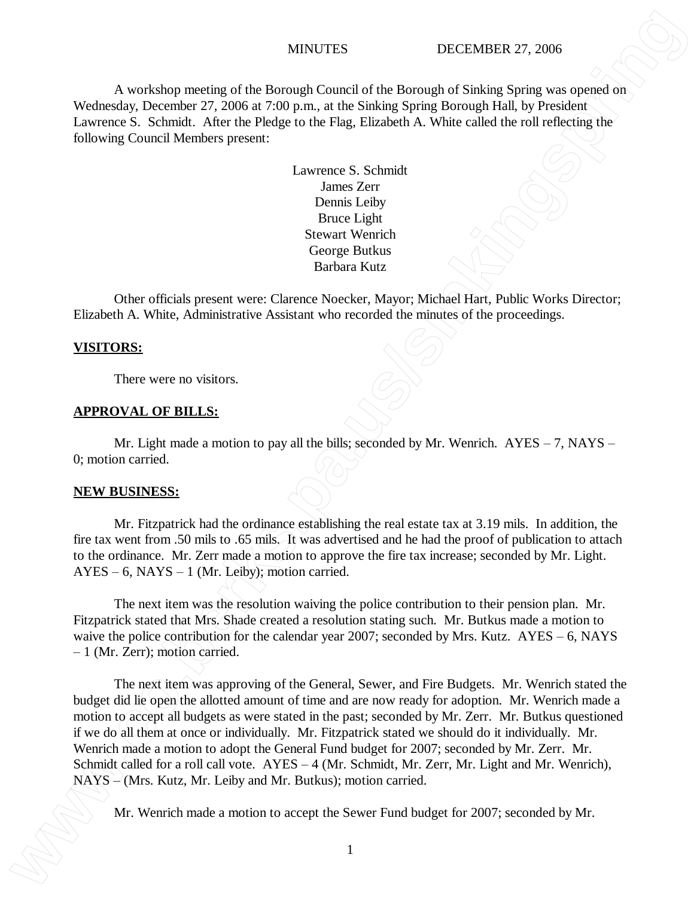## MINUTES DECEMBER 27, 2006

A workshop meeting of the Borough Council of the Borough of Sinking Spring was opened on Wednesday, December 27, 2006 at 7:00 p.m., at the Sinking Spring Borough Hall, by President Lawrence S. Schmidt. After the Pledge to the Flag, Elizabeth A. White called the roll reflecting the following Council Members present:

> Lawrence S. Schmidt James Zerr Dennis Leiby Bruce Light Stewart Wenrich George Butkus Barbara Kutz

Other officials present were: Clarence Noecker, Mayor; Michael Hart, Public Works Director; Elizabeth A. White, Administrative Assistant who recorded the minutes of the proceedings.

### **VISITORS:**

There were no visitors.

## **APPROVAL OF BILLS:**

Mr. Light made a motion to pay all the bills; seconded by Mr. Wenrich.  $AYES - 7$ ,  $NAYS -$ 0; motion carried.

## **NEW BUSINESS:**

Mr. Fitzpatrick had the ordinance establishing the real estate tax at 3.19 mils. In addition, the fire tax went from .50 mils to .65 mils. It was advertised and he had the proof of publication to attach to the ordinance. Mr. Zerr made a motion to approve the fire tax increase; seconded by Mr. Light.  $AYES - 6$ ,  $NAYS - 1$  (Mr. Leiby); motion carried.

The next item was the resolution waiving the police contribution to their pension plan. Mr. Fitzpatrick stated that Mrs. Shade created a resolution stating such. Mr. Butkus made a motion to waive the police contribution for the calendar year 2007; seconded by Mrs. Kutz. AYES – 6, NAYS – 1 (Mr. Zerr); motion carried.

The next item was approving of the General, Sewer, and Fire Budgets. Mr. Wenrich stated the budget did lie open the allotted amount of time and are now ready for adoption. Mr. Wenrich made a motion to accept all budgets as were stated in the past; seconded by Mr. Zerr. Mr. Butkus questioned if we do all them at once or individually. Mr. Fitzpatrick stated we should do it individually. Mr. Wenrich made a motion to adopt the General Fund budget for 2007; seconded by Mr. Zerr. Mr. Schmidt called for a roll call vote. AYES – 4 (Mr. Schmidt, Mr. Zerr, Mr. Light and Mr. Wenrich),  $NATS \sim (Mrs. Kutz, Mr. Leiby and Mr. Butkus); motion carried.$ MYGUTES DECEMBER 27, 2006<br>
Welcoming: December of the Semential of the Remainler of Subinity Spring was opened on Lowenzo 5, Schmidt, Afric the Heliop Septer the Sementing Consel Member present<br>
Lowenzo 5, Schmidt for Eur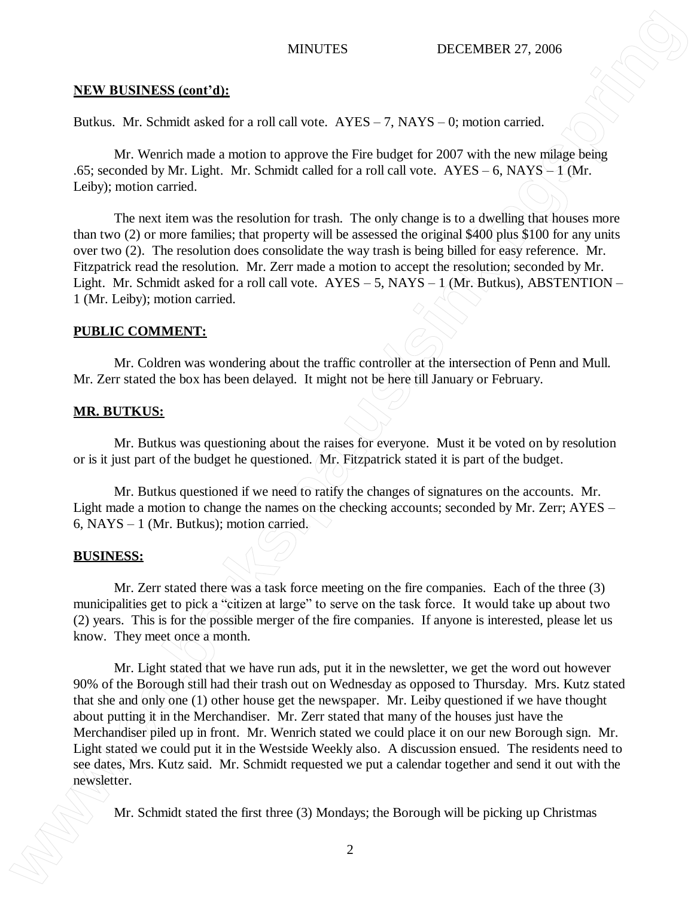# **NEW BUSINESS (cont'd):**

Butkus. Mr. Schmidt asked for a roll call vote. AYES – 7, NAYS – 0; motion carried.

Mr. Wenrich made a motion to approve the Fire budget for 2007 with the new milage being .65; seconded by Mr. Light. Mr. Schmidt called for a roll call vote.  $AYES - 6$ ,  $NAYS - 1$  (Mr. Leiby); motion carried.

The next item was the resolution for trash. The only change is to a dwelling that houses more than two (2) or more families; that property will be assessed the original \$400 plus \$100 for any units over two (2). The resolution does consolidate the way trash is being billed for easy reference. Mr. Fitzpatrick read the resolution. Mr. Zerr made a motion to accept the resolution; seconded by Mr. Light. Mr. Schmidt asked for a roll call vote.  $AYES - 5$ ,  $NAYS - 1$  (Mr. Butkus), ABSTENTION – 1 (Mr. Leiby); motion carried.

# **PUBLIC COMMENT:**

Mr. Coldren was wondering about the traffic controller at the intersection of Penn and Mull. Mr. Zerr stated the box has been delayed. It might not be here till January or February.

# **MR. BUTKUS:**

Mr. Butkus was questioning about the raises for everyone. Must it be voted on by resolution or is it just part of the budget he questioned. Mr. Fitzpatrick stated it is part of the budget.

Mr. Butkus questioned if we need to ratify the changes of signatures on the accounts. Mr. Light made a motion to change the names on the checking accounts; seconded by Mr. Zerr; AYES – 6, NAYS – 1 (Mr. Butkus); motion carried.

# **BUSINESS:**

Mr. Zerr stated there was a task force meeting on the fire companies. Each of the three (3) municipalities get to pick a "citizen at large" to serve on the task force. It would take up about two (2) years. This is for the possible merger of the fire companies. If anyone is interested, please let us know. They meet once a month.

Mr. Light stated that we have run ads, put it in the newsletter, we get the word out however 90% of the Borough still had their trash out on Wednesday as opposed to Thursday. Mrs. Kutz stated that she and only one (1) other house get the newspaper. Mr. Leiby questioned if we have thought about putting it in the Merchandiser. Mr. Zerr stated that many of the houses just have the Merchandiser piled up in front. Mr. Wenrich stated we could place it on our new Borough sign. Mr. Light stated we could put it in the Westside Weekly also. A discussion ensued. The residents need to see dates, Mrs. Kutz said. Mr. Schmidt requested we put a calendar together and send it out with the newsletter. MINUTES **SECULAR CONFURCITES**<br> **MEAN ARR ARENT STATES** CONSULTER UP AND CONSULTER THE CONSULTER THE UNITED STATES CONSULTER THE CONSULTER THE CONSULTER THE CONSULTER THE CONSULTER THE CONSULTER THE CONSULTER THE VALUE OF